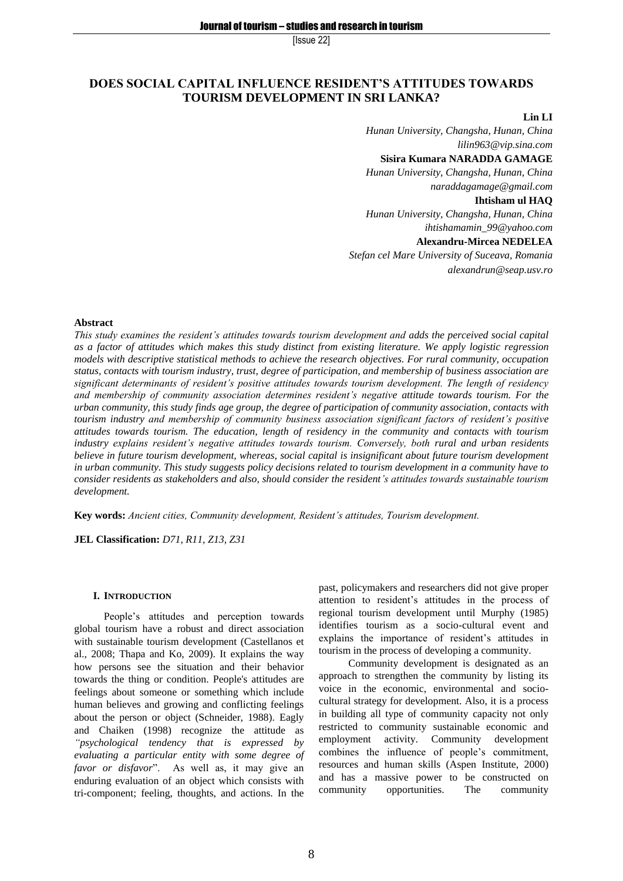# **DOES SOCIAL CAPITAL INFLUENCE RESIDENT'S ATTITUDES TOWARDS TOURISM DEVELOPMENT IN SRI LANKA?**

#### **Lin LI**

*Hunan University, Changsha, Hunan, China lilin963@vip.sina.com* **Sisira Kumara NARADDA GAMAGE** *Hunan University, Changsha, Hunan, China*

*naraddagamage@gmail.com*

## **Ihtisham ul HAQ**

*Hunan University, Changsha, Hunan, China ihtishamamin\_99@yahoo.com*

## **Alexandru-Mircea NEDELEA**

*Stefan cel Mare University of Suceava, Romania alexandrun@seap.usv.ro*

## **Abstract**

*This study examines the resident's attitudes towards tourism development and adds the perceived social capital as a factor of attitudes which makes this study distinct from existing literature. We apply logistic regression models with descriptive statistical methods to achieve the research objectives. For rural community, occupation status, contacts with tourism industry, trust, degree of participation, and membership of business association are significant determinants of resident's positive attitudes towards tourism development. The length of residency and membership of community association determines resident's negative attitude towards tourism. For the urban community, this study finds age group, the degree of participation of community association, contacts with tourism industry and membership of community business association significant factors of resident's positive attitudes towards tourism. The education, length of residency in the community and contacts with tourism industry explains resident's negative attitudes towards tourism. Conversely, both rural and urban residents believe in future tourism development, whereas, social capital is insignificant about future tourism development in urban community. This study suggests policy decisions related to tourism development in a community have to consider residents as stakeholders and also, should consider the resident's attitudes towards sustainable tourism development.*

**Key words:** *Ancient cities, Community development, Resident's attitudes, Tourism development.*

**JEL Classification:** *D71, R11, Z13, Z31*

#### **I. INTRODUCTION**

People's attitudes and perception towards global tourism have a robust and direct association with sustainable tourism development (Castellanos et al., 2008; Thapa and Ko, 2009). It explains the way how persons see the situation and their behavior towards the thing or condition. People's attitudes are feelings about someone or something which include human believes and growing and conflicting feelings about the person or object (Schneider, 1988). Eagly and Chaiken (1998) recognize the attitude as *"psychological tendency that is expressed by evaluating a particular entity with some degree of favor or disfavor*". As well as, it may give an enduring evaluation of an object which consists with tri-component; feeling, thoughts, and actions. In the

past, policymakers and researchers did not give proper attention to resident's attitudes in the process of regional tourism development until Murphy (1985) identifies tourism as a socio-cultural event and explains the importance of resident's attitudes in tourism in the process of developing a community.

Community development is designated as an approach to strengthen the community by listing its voice in the economic, environmental and sociocultural strategy for development. Also, it is a process in building all type of community capacity not only restricted to community sustainable economic and employment activity. Community development combines the influence of people's commitment, resources and human skills (Aspen Institute, 2000) and has a massive power to be constructed on community opportunities. The community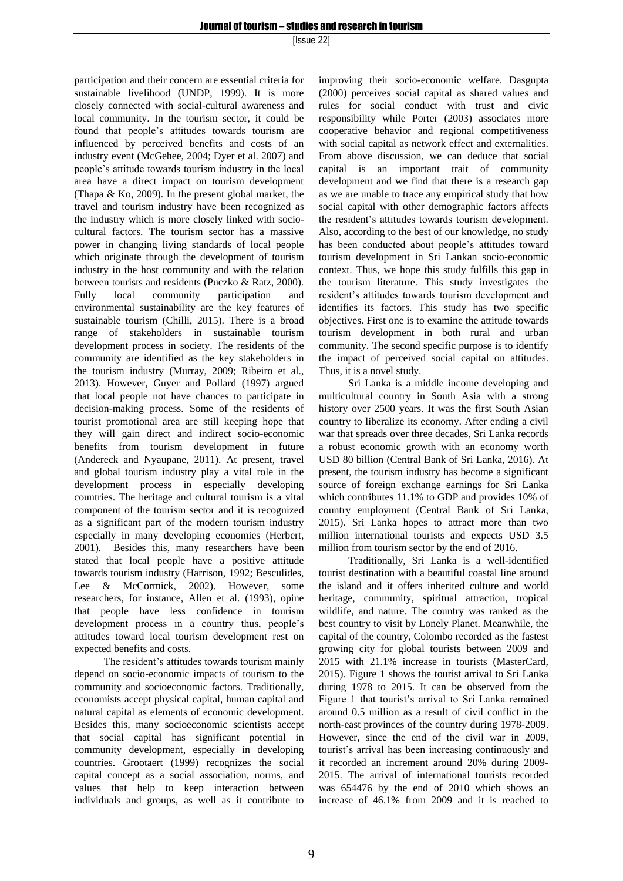participation and their concern are essential criteria for sustainable livelihood (UNDP, 1999). It is more closely connected with social-cultural awareness and local community. In the tourism sector, it could be found that people's attitudes towards tourism are influenced by perceived benefits and costs of an industry event (McGehee, 2004; Dyer et al. 2007) and people's attitude towards tourism industry in the local area have a direct impact on tourism development (Thapa & Ko, 2009). In the present global market, the travel and tourism industry have been recognized as the industry which is more closely linked with sociocultural factors. The tourism sector has a massive power in changing living standards of local people which originate through the development of tourism industry in the host community and with the relation between tourists and residents (Puczko & Ratz, 2000). Fully local community participation and environmental sustainability are the key features of sustainable tourism (Chilli, 2015). There is a broad range of stakeholders in sustainable tourism development process in society. The residents of the community are identified as the key stakeholders in the tourism industry (Murray, 2009; Ribeiro et al., 2013). However, Guyer and Pollard (1997) argued that local people not have chances to participate in decision-making process. Some of the residents of tourist promotional area are still keeping hope that they will gain direct and indirect socio-economic benefits from tourism development in future (Andereck and Nyaupane, 2011). At present, travel and global tourism industry play a vital role in the development process in especially developing countries. The heritage and cultural tourism is a vital component of the tourism sector and it is recognized as a significant part of the modern tourism industry especially in many developing economies (Herbert, 2001). Besides this, many researchers have been stated that local people have a positive attitude towards tourism industry (Harrison, 1992; Besculides, Lee & McCormick, 2002). However, some researchers, for instance, Allen et al. (1993), opine that people have less confidence in tourism development process in a country thus, people's attitudes toward local tourism development rest on expected benefits and costs.

The resident's attitudes towards tourism mainly depend on socio-economic impacts of tourism to the community and socioeconomic factors. Traditionally, economists accept physical capital, human capital and natural capital as elements of economic development. Besides this, many socioeconomic scientists accept that social capital has significant potential in community development, especially in developing countries. Grootaert (1999) recognizes the social capital concept as a social association, norms, and values that help to keep interaction between individuals and groups, as well as it contribute to improving their socio-economic welfare. Dasgupta (2000) perceives social capital as shared values and rules for social conduct with trust and civic responsibility while Porter (2003) associates more cooperative behavior and regional competitiveness with social capital as network effect and externalities. From above discussion, we can deduce that social capital is an important trait of community development and we find that there is a research gap as we are unable to trace any empirical study that how social capital with other demographic factors affects the resident's attitudes towards tourism development. Also, according to the best of our knowledge, no study has been conducted about people's attitudes toward tourism development in Sri Lankan socio-economic context. Thus, we hope this study fulfills this gap in the tourism literature. This study investigates the resident's attitudes towards tourism development and identifies its factors. This study has two specific objectives. First one is to examine the attitude towards tourism development in both rural and urban community. The second specific purpose is to identify the impact of perceived social capital on attitudes. Thus, it is a novel study.

Sri Lanka is a middle income developing and multicultural country in South Asia with a strong history over 2500 years. It was the first South Asian country to liberalize its economy. After ending a civil war that spreads over three decades, Sri Lanka records a robust economic growth with an economy worth USD 80 billion (Central Bank of Sri Lanka, 2016). At present, the tourism industry has become a significant source of foreign exchange earnings for Sri Lanka which contributes 11.1% to GDP and provides 10% of country employment (Central Bank of Sri Lanka, 2015). Sri Lanka hopes to attract more than two million international tourists and expects USD 3.5 million from tourism sector by the end of 2016.

Traditionally, Sri Lanka is a well-identified tourist destination with a beautiful coastal line around the island and it offers inherited culture and world heritage, community, spiritual attraction, tropical wildlife, and nature. The country was ranked as the best country to visit by Lonely Planet. Meanwhile, the capital of the country, Colombo recorded as the fastest growing city for global tourists between 2009 and 2015 with 21.1% increase in tourists (MasterCard, 2015). Figure 1 shows the tourist arrival to Sri Lanka during 1978 to 2015. It can be observed from the Figure 1 that tourist's arrival to Sri Lanka remained around 0.5 million as a result of civil conflict in the north-east provinces of the country during 1978-2009. However, since the end of the civil war in 2009, tourist's arrival has been increasing continuously and it recorded an increment around 20% during 2009- 2015. The arrival of international tourists recorded was 654476 by the end of 2010 which shows an increase of 46.1% from 2009 and it is reached to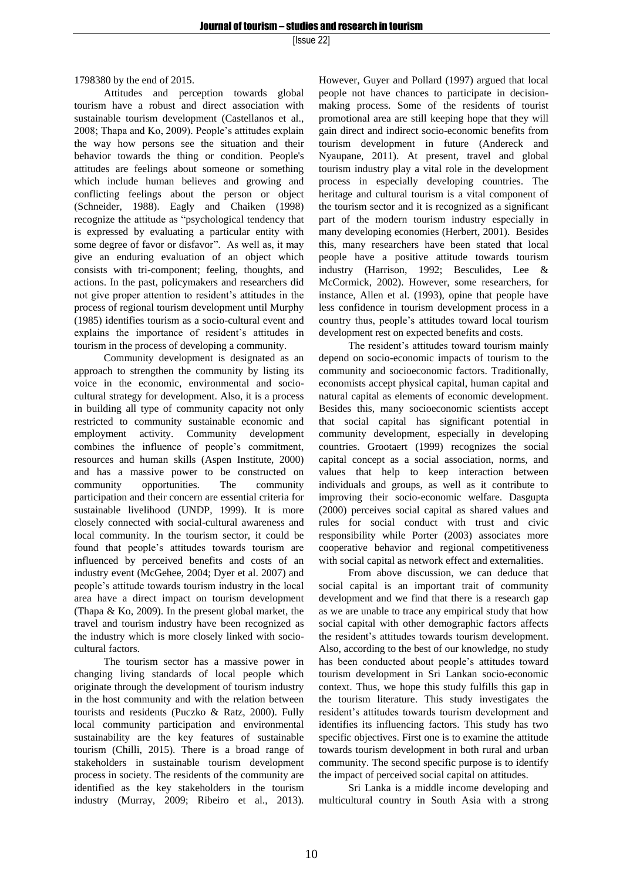1798380 by the end of 2015.

Attitudes and perception towards global tourism have a robust and direct association with sustainable tourism development (Castellanos et al., 2008; Thapa and Ko, 2009). People's attitudes explain the way how persons see the situation and their behavior towards the thing or condition. People's attitudes are feelings about someone or something which include human believes and growing and conflicting feelings about the person or object (Schneider, 1988). Eagly and Chaiken (1998) recognize the attitude as "psychological tendency that is expressed by evaluating a particular entity with some degree of favor or disfavor". As well as, it may give an enduring evaluation of an object which consists with tri-component; feeling, thoughts, and actions. In the past, policymakers and researchers did not give proper attention to resident's attitudes in the process of regional tourism development until Murphy (1985) identifies tourism as a socio-cultural event and explains the importance of resident's attitudes in tourism in the process of developing a community.

Community development is designated as an approach to strengthen the community by listing its voice in the economic, environmental and sociocultural strategy for development. Also, it is a process in building all type of community capacity not only restricted to community sustainable economic and employment activity. Community development combines the influence of people's commitment, resources and human skills (Aspen Institute, 2000) and has a massive power to be constructed on community opportunities. The community participation and their concern are essential criteria for sustainable livelihood (UNDP, 1999). It is more closely connected with social-cultural awareness and local community. In the tourism sector, it could be found that people's attitudes towards tourism are influenced by perceived benefits and costs of an industry event (McGehee, 2004; Dyer et al. 2007) and people's attitude towards tourism industry in the local area have a direct impact on tourism development (Thapa & Ko, 2009). In the present global market, the travel and tourism industry have been recognized as the industry which is more closely linked with sociocultural factors.

The tourism sector has a massive power in changing living standards of local people which originate through the development of tourism industry in the host community and with the relation between tourists and residents (Puczko & Ratz, 2000). Fully local community participation and environmental sustainability are the key features of sustainable tourism (Chilli, 2015). There is a broad range of stakeholders in sustainable tourism development process in society. The residents of the community are identified as the key stakeholders in the tourism industry (Murray, 2009; Ribeiro et al., 2013). However, Guyer and Pollard (1997) argued that local people not have chances to participate in decisionmaking process. Some of the residents of tourist promotional area are still keeping hope that they will gain direct and indirect socio-economic benefits from tourism development in future (Andereck and Nyaupane, 2011). At present, travel and global tourism industry play a vital role in the development process in especially developing countries. The heritage and cultural tourism is a vital component of the tourism sector and it is recognized as a significant part of the modern tourism industry especially in many developing economies (Herbert, 2001). Besides this, many researchers have been stated that local people have a positive attitude towards tourism industry (Harrison, 1992; Besculides, Lee & McCormick, 2002). However, some researchers, for instance, Allen et al. (1993), opine that people have less confidence in tourism development process in a country thus, people's attitudes toward local tourism development rest on expected benefits and costs.

The resident's attitudes toward tourism mainly depend on socio-economic impacts of tourism to the community and socioeconomic factors. Traditionally, economists accept physical capital, human capital and natural capital as elements of economic development. Besides this, many socioeconomic scientists accept that social capital has significant potential in community development, especially in developing countries. Grootaert (1999) recognizes the social capital concept as a social association, norms, and values that help to keep interaction between individuals and groups, as well as it contribute to improving their socio-economic welfare. Dasgupta (2000) perceives social capital as shared values and rules for social conduct with trust and civic responsibility while Porter (2003) associates more cooperative behavior and regional competitiveness with social capital as network effect and externalities.

From above discussion, we can deduce that social capital is an important trait of community development and we find that there is a research gap as we are unable to trace any empirical study that how social capital with other demographic factors affects the resident's attitudes towards tourism development. Also, according to the best of our knowledge, no study has been conducted about people's attitudes toward tourism development in Sri Lankan socio-economic context. Thus, we hope this study fulfills this gap in the tourism literature. This study investigates the resident's attitudes towards tourism development and identifies its influencing factors. This study has two specific objectives. First one is to examine the attitude towards tourism development in both rural and urban community. The second specific purpose is to identify the impact of perceived social capital on attitudes.

Sri Lanka is a middle income developing and multicultural country in South Asia with a strong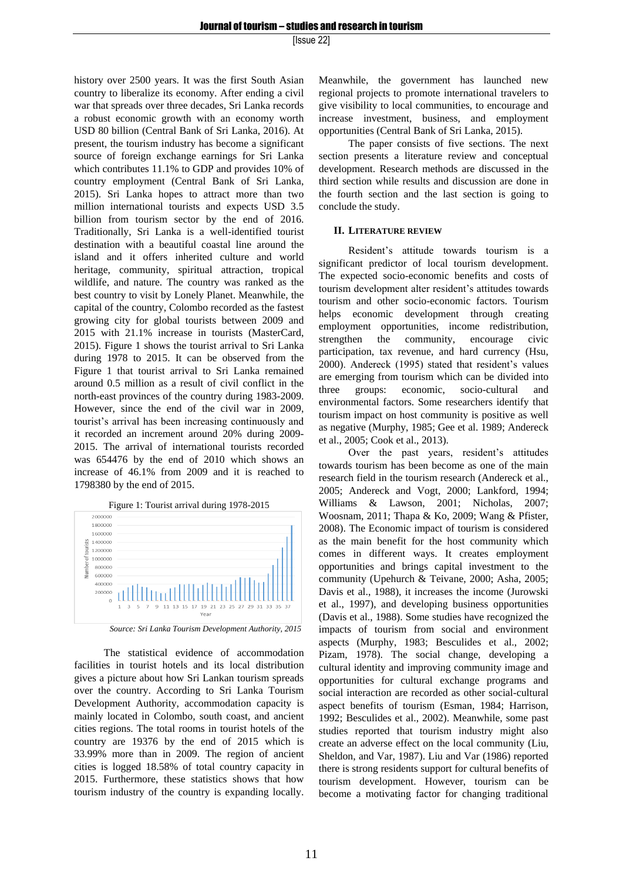history over 2500 years. It was the first South Asian country to liberalize its economy. After ending a civil war that spreads over three decades, Sri Lanka records a robust economic growth with an economy worth USD 80 billion (Central Bank of Sri Lanka, 2016). At present, the tourism industry has become a significant source of foreign exchange earnings for Sri Lanka which contributes 11.1% to GDP and provides 10% of country employment (Central Bank of Sri Lanka, 2015). Sri Lanka hopes to attract more than two million international tourists and expects USD 3.5 billion from tourism sector by the end of 2016. Traditionally, Sri Lanka is a well-identified tourist destination with a beautiful coastal line around the island and it offers inherited culture and world heritage, community, spiritual attraction, tropical wildlife, and nature. The country was ranked as the best country to visit by Lonely Planet. Meanwhile, the capital of the country, Colombo recorded as the fastest growing city for global tourists between 2009 and 2015 with 21.1% increase in tourists (MasterCard, 2015). Figure 1 shows the tourist arrival to Sri Lanka during 1978 to 2015. It can be observed from the Figure 1 that tourist arrival to Sri Lanka remained around 0.5 million as a result of civil conflict in the north-east provinces of the country during 1983-2009. However, since the end of the civil war in 2009, tourist's arrival has been increasing continuously and it recorded an increment around 20% during 2009- 2015. The arrival of international tourists recorded was 654476 by the end of 2010 which shows an increase of 46.1% from 2009 and it is reached to 1798380 by the end of 2015.



 *Source: Sri Lanka Tourism Development Authority, 2015*

The statistical evidence of accommodation facilities in tourist hotels and its local distribution gives a picture about how Sri Lankan tourism spreads over the country. According to Sri Lanka Tourism Development Authority, accommodation capacity is mainly located in Colombo, south coast, and ancient cities regions. The total rooms in tourist hotels of the country are 19376 by the end of 2015 which is 33.99% more than in 2009. The region of ancient cities is logged 18.58% of total country capacity in 2015. Furthermore, these statistics shows that how tourism industry of the country is expanding locally. Meanwhile, the government has launched new regional projects to promote international travelers to give visibility to local communities, to encourage and increase investment, business, and employment opportunities (Central Bank of Sri Lanka, 2015).

The paper consists of five sections. The next section presents a literature review and conceptual development. Research methods are discussed in the third section while results and discussion are done in the fourth section and the last section is going to conclude the study.

#### **II. LITERATURE REVIEW**

Resident's attitude towards tourism is a significant predictor of local tourism development. The expected socio-economic benefits and costs of tourism development alter resident's attitudes towards tourism and other socio-economic factors. Tourism helps economic development through creating employment opportunities, income redistribution, strengthen the community, encourage civic participation, tax revenue, and hard currency (Hsu, 2000). Andereck (1995) stated that resident's values are emerging from tourism which can be divided into three groups: economic, socio-cultural and environmental factors. Some researchers identify that tourism impact on host community is positive as well as negative (Murphy, 1985; Gee et al. 1989; Andereck et al., 2005; Cook et al., 2013).

Over the past years, resident's attitudes towards tourism has been become as one of the main research field in the tourism research (Andereck et al., 2005; Andereck and Vogt, 2000; Lankford, 1994; Williams & Lawson, 2001; Nicholas, 2007; Woosnam, 2011; Thapa & Ko, 2009; Wang & Pfister, 2008). The Economic impact of tourism is considered as the main benefit for the host community which comes in different ways. It creates employment opportunities and brings capital investment to the community (Upehurch & Teivane, 2000; Asha, 2005; Davis et al., 1988), it increases the income (Jurowski et al., 1997), and developing business opportunities (Davis et al., 1988). Some studies have recognized the impacts of tourism from social and environment aspects (Murphy, 1983; Besculides et al., 2002; Pizam, 1978). The social change, developing a cultural identity and improving community image and opportunities for cultural exchange programs and social interaction are recorded as other social-cultural aspect benefits of tourism (Esman, 1984; Harrison, 1992; Besculides et al., 2002). Meanwhile, some past studies reported that tourism industry might also create an adverse effect on the local community (Liu, Sheldon, and Var, 1987). Liu and Var (1986) reported there is strong residents support for cultural benefits of tourism development. However, tourism can be become a motivating factor for changing traditional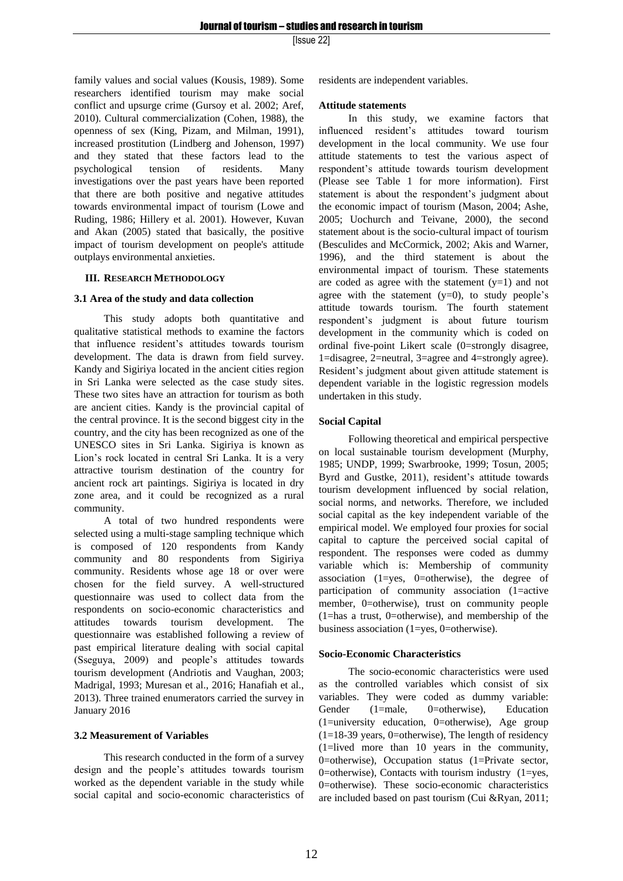family values and social values (Kousis, 1989). Some researchers identified tourism may make social conflict and upsurge crime (Gursoy et al. 2002; Aref, 2010). Cultural commercialization (Cohen, 1988), the openness of sex (King, Pizam, and Milman, 1991), increased prostitution (Lindberg and Johenson, 1997) and they stated that these factors lead to the psychological tension of residents. Many investigations over the past years have been reported that there are both positive and negative attitudes towards environmental impact of tourism (Lowe and Ruding, 1986; Hillery et al. 2001). However, Kuvan and Akan (2005) stated that basically, the positive impact of tourism development on people's attitude outplays environmental anxieties.

## **III. RESEARCH METHODOLOGY**

## **3.1 Area of the study and data collection**

This study adopts both quantitative and qualitative statistical methods to examine the factors that influence resident's attitudes towards tourism development. The data is drawn from field survey. Kandy and Sigiriya located in the ancient cities region in Sri Lanka were selected as the case study sites. These two sites have an attraction for tourism as both are ancient cities. Kandy is the provincial capital of the central province. It is the second biggest city in the country, and the city has been recognized as one of the UNESCO sites in Sri Lanka. Sigiriya is known as Lion's rock located in central Sri Lanka. It is a very attractive tourism destination of the country for ancient rock art paintings. Sigiriya is located in dry zone area, and it could be recognized as a rural community.

A total of two hundred respondents were selected using a multi-stage sampling technique which is composed of 120 respondents from Kandy community and 80 respondents from Sigiriya community. Residents whose age 18 or over were chosen for the field survey. A well-structured questionnaire was used to collect data from the respondents on socio-economic characteristics and attitudes towards tourism development. The questionnaire was established following a review of past empirical literature dealing with social capital (Sseguya, 2009) and people's attitudes towards tourism development (Andriotis and Vaughan, 2003; Madrigal, 1993; Muresan et al., 2016; Hanafiah et al., 2013). Three trained enumerators carried the survey in January 2016

## **3.2 Measurement of Variables**

This research conducted in the form of a survey design and the people's attitudes towards tourism worked as the dependent variable in the study while social capital and socio-economic characteristics of residents are independent variables.

## **Attitude statements**

In this study, we examine factors that influenced resident's attitudes toward tourism development in the local community. We use four attitude statements to test the various aspect of respondent's attitude towards tourism development (Please see Table 1 for more information). First statement is about the respondent's judgment about the economic impact of tourism (Mason, 2004; Ashe, 2005; Uochurch and Teivane, 2000), the second statement about is the socio-cultural impact of tourism (Besculides and McCormick, 2002; Akis and Warner, 1996), and the third statement is about the environmental impact of tourism. These statements are coded as agree with the statement  $(y=1)$  and not agree with the statement  $(y=0)$ , to study people's attitude towards tourism. The fourth statement respondent's judgment is about future tourism development in the community which is coded on ordinal five-point Likert scale (0=strongly disagree, 1=disagree, 2=neutral, 3=agree and 4=strongly agree). Resident's judgment about given attitude statement is dependent variable in the logistic regression models undertaken in this study.

## **Social Capital**

Following theoretical and empirical perspective on local sustainable tourism development (Murphy, 1985; UNDP, 1999; Swarbrooke, 1999; Tosun, 2005; Byrd and Gustke, 2011), resident's attitude towards tourism development influenced by social relation, social norms, and networks. Therefore, we included social capital as the key independent variable of the empirical model. We employed four proxies for social capital to capture the perceived social capital of respondent. The responses were coded as dummy variable which is: Membership of community association (1=yes, 0=otherwise), the degree of participation of community association (1=active member, 0=otherwise), trust on community people (1=has a trust, 0=otherwise), and membership of the business association (1=yes, 0=otherwise).

## **Socio-Economic Characteristics**

The socio-economic characteristics were used as the controlled variables which consist of six variables. They were coded as dummy variable: Gender (1=male, 0=otherwise), Education (1=university education, 0=otherwise), Age group  $(1=18-39 \text{ years}, 0=otherwise)$ , The length of residency (1=lived more than 10 years in the community, 0=otherwise), Occupation status (1=Private sector, 0=otherwise), Contacts with tourism industry  $(1=$ yes, 0=otherwise). These socio-economic characteristics are included based on past tourism (Cui &Ryan, 2011;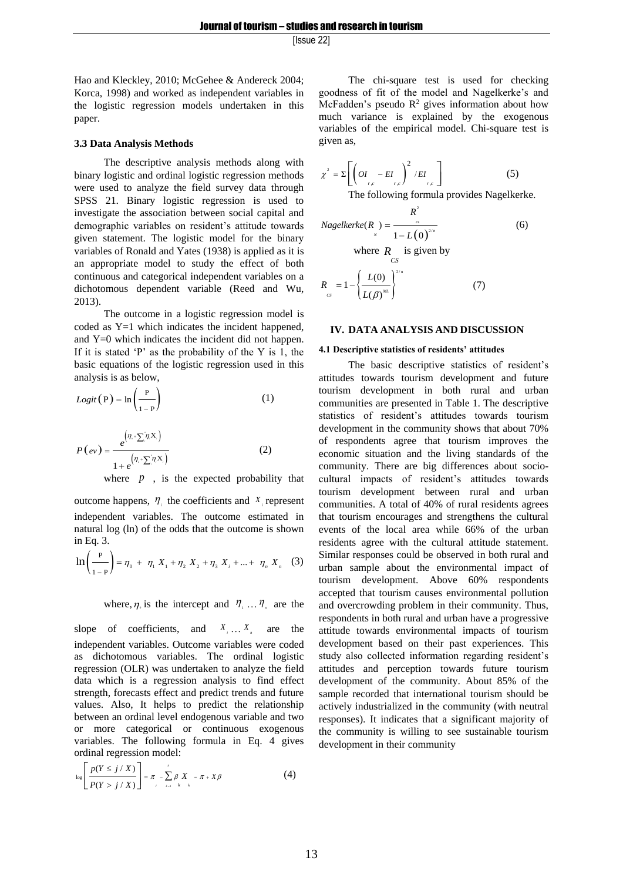Hao and Kleckley, 2010; McGehee & Andereck 2004; Korca, 1998) and worked as independent variables in the logistic regression models undertaken in this paper.

## **3.3 Data Analysis Methods**

The descriptive analysis methods along with binary logistic and ordinal logistic regression methods were used to analyze the field survey data through SPSS 21. Binary logistic regression is used to investigate the association between social capital and demographic variables on resident's attitude towards given statement. The logistic model for the binary variables of Ronald and Yates (1938) is applied as it is an appropriate model to study the effect of both continuous and categorical independent variables on a dichotomous dependent variable (Reed and Wu, 2013).

The outcome in a logistic regression model is coded as Y=1 which indicates the incident happened, and Y=0 which indicates the incident did not happen. If it is stated 'P' as the probability of the Y is 1, the basic equations of the logistic regression used in this analysis is as below,

$$
Logit(P) = \ln\left(\frac{P}{1-P}\right) \tag{1}
$$

$$
P\left(e\nu\right) = \frac{e^{\left(\eta_{\cdot} + \sum_{i}^{n} \left(\mathbf{X}\right)\right)}}{1 + e^{\left(\eta_{\cdot} + \sum_{i}^{n} \left(\mathbf{X}\right)\right)}}\tag{2}
$$

where  $p$ , is the expected probability that

outcome happens,  $\eta_i$  the coefficients and  $X_i$  represent independent variables. The outcome estimated in natural log (ln) of the odds that the outcome is shown in Eq. 3.

$$
\ln \left( \frac{P}{1-P} \right) = \eta_0 + \eta_1 X_1 + \eta_2 X_2 + \eta_3 X_3 + \dots + \eta_n X_n \quad (3)
$$

where,  $\eta_{\text{S}}$  is the intercept and  $\eta_{\text{S}} \dots \eta_{\text{n}}$  are the

slope of coefficients, and  $X_1 \ldots X_n$  are the independent variables. Outcome variables were coded as dichotomous variables. The ordinal logistic regression (OLR) was undertaken to analyze the field data which is a regression analysis to find effect strength, forecasts effect and predict trends and future values. Also, It helps to predict the relationship between an ordinal level endogenous variable and two or more categorical or continuous exogenous variables. The following formula in Eq. 4 gives

$$
\text{original regression model:\n
$$
\log \left[ \frac{p(Y \leq j / X)}{P(Y > j / X)} \right] = \pi - \sum_{i=1}^{n} \beta_i X_i = \pi + X\beta
$$
\n
$$
\tag{4}
$$
$$

The chi-square test is used for checking goodness of fit of the model and Nagelkerke's and McFadden's pseudo  $\mathbb{R}^2$  gives information about how much variance is explained by the exogenous variables of the empirical model. Chi-square test is given as,

$$
\chi^2 = \Sigma \left[ \left( OI_{r,c} - EI_{r,c} \right)^2 / EI_{r,c} \right]
$$
 (5)

The following formula provides Nagelkerke.

Nagelkerke(R<sub>y</sub>) = 
$$
\frac{R^2}{1 - L(0)^{2/n}}
$$
(6)  
where R is given by

$$
R_{cs} = 1 - \left\{ \frac{L(0)}{L(\beta)^{M}} \right\}^{2/n}
$$
 (7)

#### **IV. DATA ANALYSIS AND DISCUSSION**

#### **4.1 Descriptive statistics of residents' attitudes**

The basic descriptive statistics of resident's attitudes towards tourism development and future tourism development in both rural and urban communities are presented in Table 1. The descriptive statistics of resident's attitudes towards tourism development in the community shows that about 70% of respondents agree that tourism improves the economic situation and the living standards of the community. There are big differences about sociocultural impacts of resident's attitudes towards tourism development between rural and urban communities. A total of 40% of rural residents agrees that tourism encourages and strengthens the cultural events of the local area while 66% of the urban residents agree with the cultural attitude statement. Similar responses could be observed in both rural and urban sample about the environmental impact of tourism development. Above 60% respondents accepted that tourism causes environmental pollution and overcrowding problem in their community. Thus, respondents in both rural and urban have a progressive attitude towards environmental impacts of tourism development based on their past experiences. This study also collected information regarding resident's attitudes and perception towards future tourism development of the community. About 85% of the sample recorded that international tourism should be actively industrialized in the community (with neutral responses). It indicates that a significant majority of the community is willing to see sustainable tourism development in their community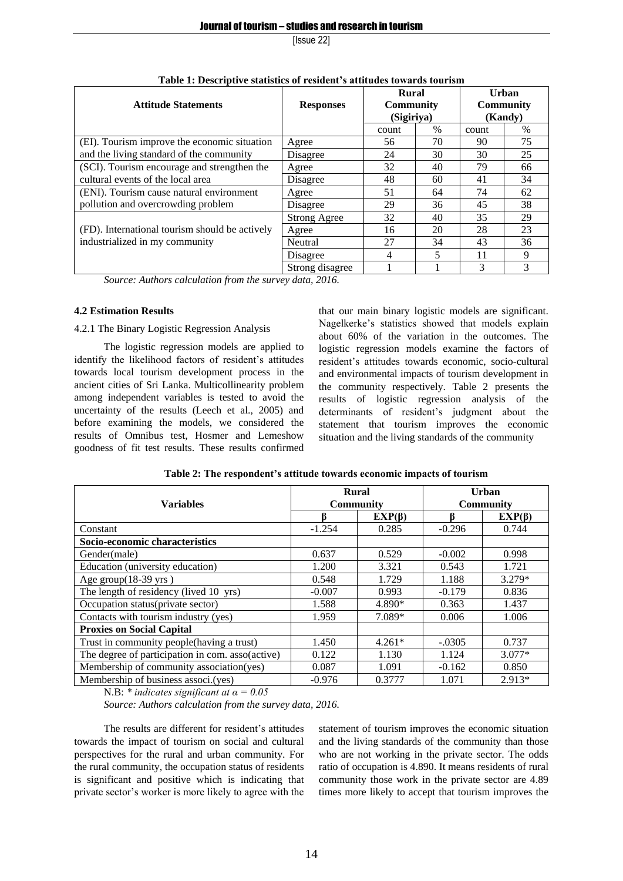| radio ri Descriptive statistics or resident s'attitudes towards tourism<br><b>Rural</b><br>Urban |                     |                                |      |                  |      |  |
|--------------------------------------------------------------------------------------------------|---------------------|--------------------------------|------|------------------|------|--|
| <b>Attitude Statements</b>                                                                       | <b>Responses</b>    | <b>Community</b><br>(Sigiriya) |      | <b>Community</b> |      |  |
|                                                                                                  |                     |                                |      | (Kandy)          |      |  |
|                                                                                                  |                     | count                          | $\%$ | count            | $\%$ |  |
| (EI). Tourism improve the economic situation                                                     | Agree               | 56                             | 70   | 90               | 75   |  |
| and the living standard of the community                                                         | Disagree            | 24                             | 30   | 30               | 25   |  |
| (SCI). Tourism encourage and strengthen the                                                      | Agree               | 32                             | 40   | 79               | 66   |  |
| cultural events of the local area                                                                | Disagree            | 48                             | 60   | 41               | 34   |  |
| (ENI). Tourism cause natural environment                                                         | Agree               | 51                             | 64   | 74               | 62   |  |
| pollution and overcrowding problem                                                               | Disagree            | 29                             | 36   | 45               | 38   |  |
|                                                                                                  | <b>Strong Agree</b> | 32                             | 40   | 35               | 29   |  |
| (FD). International tourism should be actively                                                   | Agree               | 16                             | 20   | 28               | 23   |  |
| industrialized in my community                                                                   | Neutral             | 27                             | 34   | 43               | 36   |  |
|                                                                                                  | Disagree            | 4                              |      | 11               | 9    |  |
|                                                                                                  | Strong disagree     |                                |      | 3                | 3    |  |

**Table 1: Descriptive statistics of resident's attitudes towards tourism**

*Source: Authors calculation from the survey data, 2016.*

## **4.2 Estimation Results**

# 4.2.1 The Binary Logistic Regression Analysis

The logistic regression models are applied to identify the likelihood factors of resident's attitudes towards local tourism development process in the ancient cities of Sri Lanka. Multicollinearity problem among independent variables is tested to avoid the uncertainty of the results (Leech et al., 2005) and before examining the models, we considered the results of Omnibus test, Hosmer and Lemeshow goodness of fit test results. These results confirmed

that our main binary logistic models are significant. Nagelkerke's statistics showed that models explain about 60% of the variation in the outcomes. The logistic regression models examine the factors of resident's attitudes towards economic, socio-cultural and environmental impacts of tourism development in the community respectively. Table 2 presents the results of logistic regression analysis of the determinants of resident's judgment about the statement that tourism improves the economic situation and the living standards of the community

|                                                  | <b>Rural</b>     |              | Urban            |              |  |
|--------------------------------------------------|------------------|--------------|------------------|--------------|--|
| <b>Variables</b>                                 | <b>Community</b> |              | <b>Community</b> |              |  |
|                                                  |                  | $EXP(\beta)$ |                  | $EXP(\beta)$ |  |
| Constant                                         | $-1.254$         | 0.285        | $-0.296$         | 0.744        |  |
| Socio-economic characteristics                   |                  |              |                  |              |  |
| Gender(male)                                     | 0.637            | 0.529        | $-0.002$         | 0.998        |  |
| Education (university education)                 | 1.200            | 3.321        | 0.543            | 1.721        |  |
| Age group $(18-39 \text{ yrs})$                  | 0.548            | 1.729        | 1.188            | 3.279*       |  |
| The length of residency (lived 10 yrs)           | $-0.007$         | 0.993        | $-0.179$         | 0.836        |  |
| Occupation status(private sector)                | 1.588            | 4.890*       | 0.363            | 1.437        |  |
| Contacts with tourism industry (yes)             | 1.959            | 7.089*       | 0.006            | 1.006        |  |
| <b>Proxies on Social Capital</b>                 |                  |              |                  |              |  |
| Trust in community people(having a trust)        | 1.450            | $4.261*$     | $-.0305$         | 0.737        |  |
| The degree of participation in com. asso(active) | 0.122            | 1.130        | 1.124            | $3.077*$     |  |
| Membership of community association(yes)         | 0.087            | 1.091        | $-0.162$         | 0.850        |  |
| Membership of business associ.(yes)              | $-0.976$         | 0.3777       | 1.071            | $2.913*$     |  |

**Table 2: The respondent's attitude towards economic impacts of tourism**

N.B: *\* indicates significant at α = 0.05* 

*Source: Authors calculation from the survey data, 2016.*

The results are different for resident's attitudes towards the impact of tourism on social and cultural perspectives for the rural and urban community. For the rural community, the occupation status of residents is significant and positive which is indicating that private sector's worker is more likely to agree with the

statement of tourism improves the economic situation and the living standards of the community than those who are not working in the private sector. The odds ratio of occupation is 4.890. It means residents of rural community those work in the private sector are 4.89 times more likely to accept that tourism improves the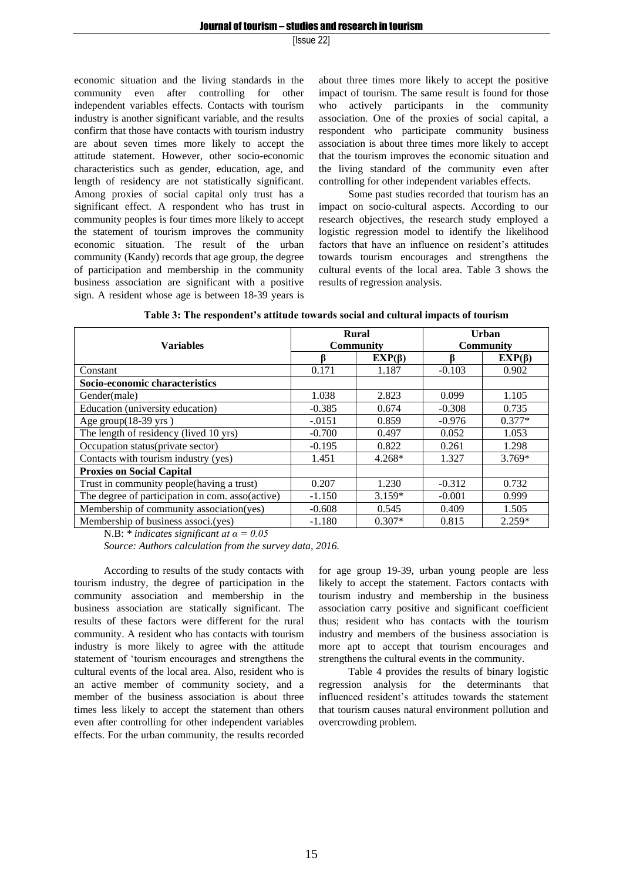economic situation and the living standards in the community even after controlling for other independent variables effects. Contacts with tourism industry is another significant variable, and the results confirm that those have contacts with tourism industry are about seven times more likely to accept the attitude statement. However, other socio-economic characteristics such as gender, education, age, and length of residency are not statistically significant. Among proxies of social capital only trust has a significant effect. A respondent who has trust in community peoples is four times more likely to accept the statement of tourism improves the community economic situation. The result of the urban community (Kandy) records that age group, the degree of participation and membership in the community business association are significant with a positive sign. A resident whose age is between 18-39 years is

about three times more likely to accept the positive impact of tourism. The same result is found for those who actively participants in the community association. One of the proxies of social capital, a respondent who participate community business association is about three times more likely to accept that the tourism improves the economic situation and the living standard of the community even after controlling for other independent variables effects.

Some past studies recorded that tourism has an impact on socio-cultural aspects. According to our research objectives, the research study employed a logistic regression model to identify the likelihood factors that have an influence on resident's attitudes towards tourism encourages and strengthens the cultural events of the local area. Table 3 shows the results of regression analysis.

|                                                  |                  | <b>Rural</b> | Urban            |              |  |
|--------------------------------------------------|------------------|--------------|------------------|--------------|--|
| <b>Variables</b>                                 | <b>Community</b> |              | <b>Community</b> |              |  |
|                                                  |                  | $EXP(\beta)$ |                  | $EXP(\beta)$ |  |
| Constant                                         | 0.171            | 1.187        | $-0.103$         | 0.902        |  |
| Socio-economic characteristics                   |                  |              |                  |              |  |
| Gender(male)                                     | 1.038            | 2.823        | 0.099            | 1.105        |  |
| Education (university education)                 | $-0.385$         | 0.674        | $-0.308$         | 0.735        |  |
| Age group $(18-39$ yrs)                          | $-.0151$         | 0.859        | $-0.976$         | $0.377*$     |  |
| The length of residency (lived 10 yrs)           | $-0.700$         | 0.497        | 0.052            | 1.053        |  |
| Occupation status(private sector)                | $-0.195$         | 0.822        | 0.261            | 1.298        |  |
| Contacts with tourism industry (yes)             | 1.451            | $4.268*$     | 1.327            | $3.769*$     |  |
| <b>Proxies on Social Capital</b>                 |                  |              |                  |              |  |
| Trust in community people(having a trust)        | 0.207            | 1.230        | $-0.312$         | 0.732        |  |
| The degree of participation in com. asso(active) | $-1.150$         | $3.159*$     | $-0.001$         | 0.999        |  |
| Membership of community association(yes)         | $-0.608$         | 0.545        | 0.409            | 1.505        |  |
| Membership of business associ.(yes)              | $-1.180$         | $0.307*$     | 0.815            | $2.259*$     |  |

| Table 3: The respondent's attitude towards social and cultural impacts of tourism |  |  |
|-----------------------------------------------------------------------------------|--|--|
|-----------------------------------------------------------------------------------|--|--|

N.B: *\* indicates significant at α = 0.05* 

*Source: Authors calculation from the survey data, 2016.*

According to results of the study contacts with tourism industry, the degree of participation in the community association and membership in the business association are statically significant. The results of these factors were different for the rural community. A resident who has contacts with tourism industry is more likely to agree with the attitude statement of 'tourism encourages and strengthens the cultural events of the local area. Also, resident who is an active member of community society, and a member of the business association is about three times less likely to accept the statement than others even after controlling for other independent variables effects. For the urban community, the results recorded

for age group 19-39, urban young people are less likely to accept the statement. Factors contacts with tourism industry and membership in the business association carry positive and significant coefficient thus; resident who has contacts with the tourism industry and members of the business association is more apt to accept that tourism encourages and strengthens the cultural events in the community.

Table 4 provides the results of binary logistic regression analysis for the determinants that influenced resident's attitudes towards the statement that tourism causes natural environment pollution and overcrowding problem.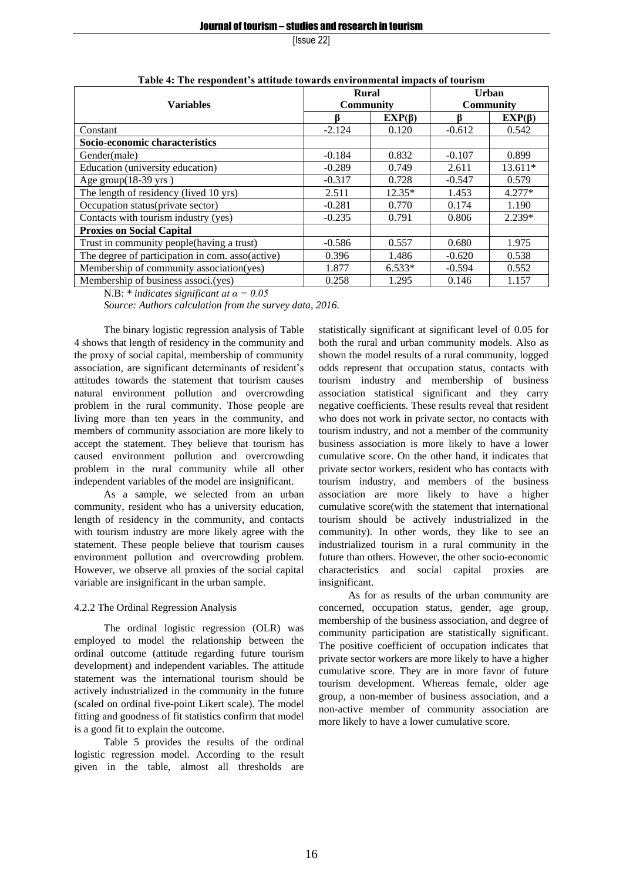| таріс ¬. тік гезронисне з апписе помагиз симпоніцента інірасіз от плитэні |                  |              |                           |              |  |  |  |
|---------------------------------------------------------------------------|------------------|--------------|---------------------------|--------------|--|--|--|
|                                                                           | <b>Rural</b>     |              | Urban<br><b>Community</b> |              |  |  |  |
| <b>Variables</b>                                                          | <b>Community</b> |              |                           |              |  |  |  |
|                                                                           |                  | $EXP(\beta)$ |                           | $EXP(\beta)$ |  |  |  |
| Constant                                                                  | $-2.124$         | 0.120        | $-0.612$                  | 0.542        |  |  |  |
| Socio-economic characteristics                                            |                  |              |                           |              |  |  |  |
| Gender(male)                                                              | $-0.184$         | 0.832        | $-0.107$                  | 0.899        |  |  |  |
| Education (university education)                                          | $-0.289$         | 0.749        | 2.611                     | $13.611*$    |  |  |  |
| Age group $(18-39 \text{ yrs})$                                           | $-0.317$         | 0.728        | $-0.547$                  | 0.579        |  |  |  |
| The length of residency (lived 10 yrs)                                    | 2.511            | $12.35*$     | 1.453                     | $4.277*$     |  |  |  |
| Occupation status(private sector)                                         | $-0.281$         | 0.770        | 0.174                     | 1.190        |  |  |  |
| Contacts with tourism industry (yes)                                      | $-0.235$         | 0.791        | 0.806                     | $2.239*$     |  |  |  |
| <b>Proxies on Social Capital</b>                                          |                  |              |                           |              |  |  |  |
| Trust in community people(having a trust)                                 | $-0.586$         | 0.557        | 0.680                     | 1.975        |  |  |  |
| The degree of participation in com. asso(active)                          | 0.396            | 1.486        | $-0.620$                  | 0.538        |  |  |  |
| Membership of community association(yes)                                  | 1.877            | $6.533*$     | $-0.594$                  | 0.552        |  |  |  |
| Membership of business associ.(yes)                                       | 0.258            | 1.295        | 0.146                     | 1.157        |  |  |  |

| Table 4: The respondent's attitude towards environmental impacts of tourism |
|-----------------------------------------------------------------------------|
|-----------------------------------------------------------------------------|

N.B: *\* indicates significant at α = 0.05* 

*Source: Authors calculation from the survey data, 2016.*

The binary logistic regression analysis of Table 4 shows that length of residency in the community and the proxy of social capital, membership of community association, are significant determinants of resident's attitudes towards the statement that tourism causes natural environment pollution and overcrowding problem in the rural community. Those people are living more than ten years in the community, and members of community association are more likely to accept the statement. They believe that tourism has caused environment pollution and overcrowding problem in the rural community while all other independent variables of the model are insignificant.

As a sample, we selected from an urban community, resident who has a university education, length of residency in the community, and contacts with tourism industry are more likely agree with the statement. These people believe that tourism causes environment pollution and overcrowding problem. However, we observe all proxies of the social capital variable are insignificant in the urban sample.

## 4.2.2 The Ordinal Regression Analysis

The ordinal logistic regression (OLR) was employed to model the relationship between the ordinal outcome (attitude regarding future tourism development) and independent variables. The attitude statement was the international tourism should be actively industrialized in the community in the future (scaled on ordinal five-point Likert scale). The model fitting and goodness of fit statistics confirm that model is a good fit to explain the outcome.

Table 5 provides the results of the ordinal logistic regression model. According to the result given in the table, almost all thresholds are statistically significant at significant level of 0.05 for both the rural and urban community models. Also as shown the model results of a rural community, logged odds represent that occupation status, contacts with tourism industry and membership of business association statistical significant and they carry negative coefficients. These results reveal that resident who does not work in private sector, no contacts with tourism industry, and not a member of the community business association is more likely to have a lower cumulative score. On the other hand, it indicates that private sector workers, resident who has contacts with tourism industry, and members of the business association are more likely to have a higher cumulative score(with the statement that international tourism should be actively industrialized in the community). In other words, they like to see an industrialized tourism in a rural community in the future than others. However, the other socio-economic characteristics and social capital proxies are insignificant.

As for as results of the urban community are concerned, occupation status, gender, age group, membership of the business association, and degree of community participation are statistically significant. The positive coefficient of occupation indicates that private sector workers are more likely to have a higher cumulative score. They are in more favor of future tourism development. Whereas female, older age group, a non-member of business association, and a non-active member of community association are more likely to have a lower cumulative score.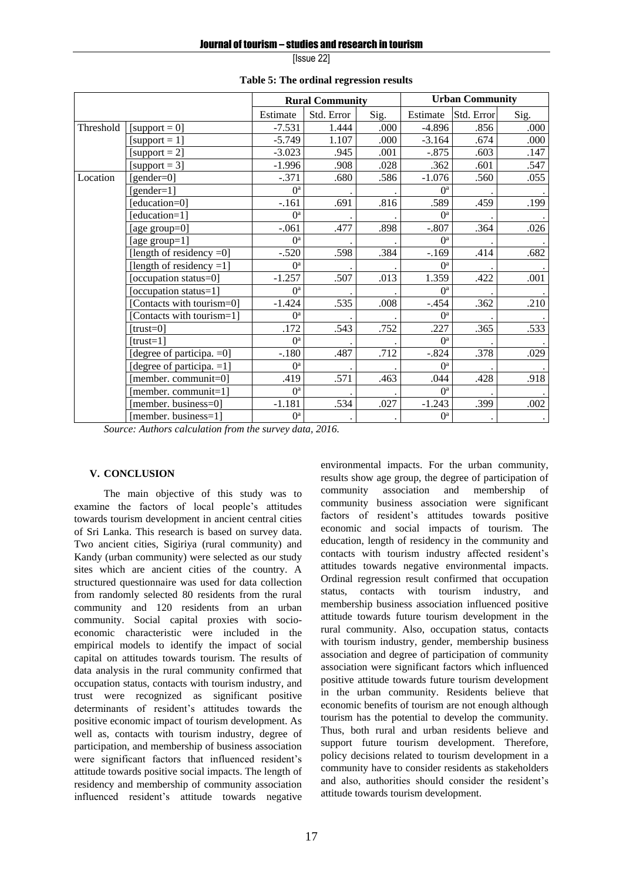|           |                              | <b>Rural Community</b> |            | <b>Urban Community</b> |                           |            |      |
|-----------|------------------------------|------------------------|------------|------------------------|---------------------------|------------|------|
|           |                              | Estimate               | Std. Error | Sig.                   | Estimate                  | Std. Error | Sig. |
| Threshold | $[support = 0]$              | $-7.531$               | 1.444      | .000                   | $-4.896$                  | .856       | .000 |
|           | [support = $1$ ]             | $-5.749$               | 1.107      | .000                   | $-3.164$                  | .674       | .000 |
|           | [support = $2$ ]             | $-3.023$               | .945       | .001                   | $-.875$                   | .603       | .147 |
|           | [support = $3$ ]             | $-1.996$               | .908       | .028                   | .362                      | .601       | .547 |
| Location  | $[gender=0]$                 | $-.371$                | .680       | .586                   | $-1.076$                  | .560       | .055 |
|           | [gender= $1$ ]               | O <sup>a</sup>         |            |                        | O <sup>a</sup>            |            |      |
|           | [education=0]                | $-.161$                | .691       | .816                   | .589                      | .459       | .199 |
|           | [education=1]                | O <sup>a</sup>         |            |                        | O <sup>a</sup>            |            |      |
|           | [age group=0]                | $-.061$                | .477       | .898                   | $-.807$                   | .364       | .026 |
|           | [age group=1]                | O <sup>a</sup>         |            |                        | O <sup>a</sup>            |            |      |
|           | [length of residency $=0$ ]  | $-.520$                | .598       | .384                   | $-.169$                   | .414       | .682 |
|           | [length of residency $=1$ ]  | O <sup>a</sup>         |            |                        | $\mathbf{O}^{\mathrm{a}}$ |            |      |
|           | [occupation status=0]        | $-1.257$               | .507       | .013                   | 1.359                     | .422       | .001 |
|           | [occupation status=1]        | O <sup>a</sup>         |            |                        | O <sup>a</sup>            |            |      |
|           | [Contacts with tourism=0]    | $-1.424$               | .535       | .008                   | $-.454$                   | .362       | .210 |
|           | [Contacts with tourism=1]    | O <sup>a</sup>         |            |                        | O <sup>a</sup>            |            |      |
|           | $[trust=0]$                  | .172                   | .543       | .752                   | .227                      | .365       | .533 |
|           | ftrust=11                    | $0^a$                  |            |                        | O <sup>a</sup>            |            |      |
|           | [degree of participa. = 0]   | $-.180$                | .487       | .712                   | $-.824$                   | .378       | .029 |
|           | [degree of participa. $=1$ ] | $0^a$                  |            |                        | $0^a$                     |            |      |
|           | [member. communit=0]         | .419                   | .571       | .463                   | .044                      | .428       | .918 |
|           | [member. communit=1]         | O <sup>a</sup>         |            |                        | O <sup>a</sup>            |            |      |
|           | [member. business=0]         | $-1.181$               | .534       | .027                   | $-1.243$                  | .399       | .002 |
|           | [member. business=1]         | $0^a$                  |            |                        | $0^a$                     |            |      |

**Table 5: The ordinal regression results**

*Source: Authors calculation from the survey data, 2016.*

#### **V. CONCLUSION**

The main objective of this study was to examine the factors of local people's attitudes towards tourism development in ancient central cities of Sri Lanka. This research is based on survey data. Two ancient cities, Sigiriya (rural community) and Kandy (urban community) were selected as our study sites which are ancient cities of the country. A structured questionnaire was used for data collection from randomly selected 80 residents from the rural community and 120 residents from an urban community. Social capital proxies with socioeconomic characteristic were included in the empirical models to identify the impact of social capital on attitudes towards tourism. The results of data analysis in the rural community confirmed that occupation status, contacts with tourism industry, and trust were recognized as significant positive determinants of resident's attitudes towards the positive economic impact of tourism development. As well as, contacts with tourism industry, degree of participation, and membership of business association were significant factors that influenced resident's attitude towards positive social impacts. The length of residency and membership of community association influenced resident's attitude towards negative

environmental impacts. For the urban community, results show age group, the degree of participation of community association and membership of community business association were significant factors of resident's attitudes towards positive economic and social impacts of tourism. The education, length of residency in the community and contacts with tourism industry affected resident's attitudes towards negative environmental impacts. Ordinal regression result confirmed that occupation status, contacts with tourism industry, and membership business association influenced positive attitude towards future tourism development in the rural community. Also, occupation status, contacts with tourism industry, gender, membership business association and degree of participation of community association were significant factors which influenced positive attitude towards future tourism development in the urban community. Residents believe that economic benefits of tourism are not enough although tourism has the potential to develop the community. Thus, both rural and urban residents believe and support future tourism development. Therefore, policy decisions related to tourism development in a community have to consider residents as stakeholders and also, authorities should consider the resident's attitude towards tourism development.